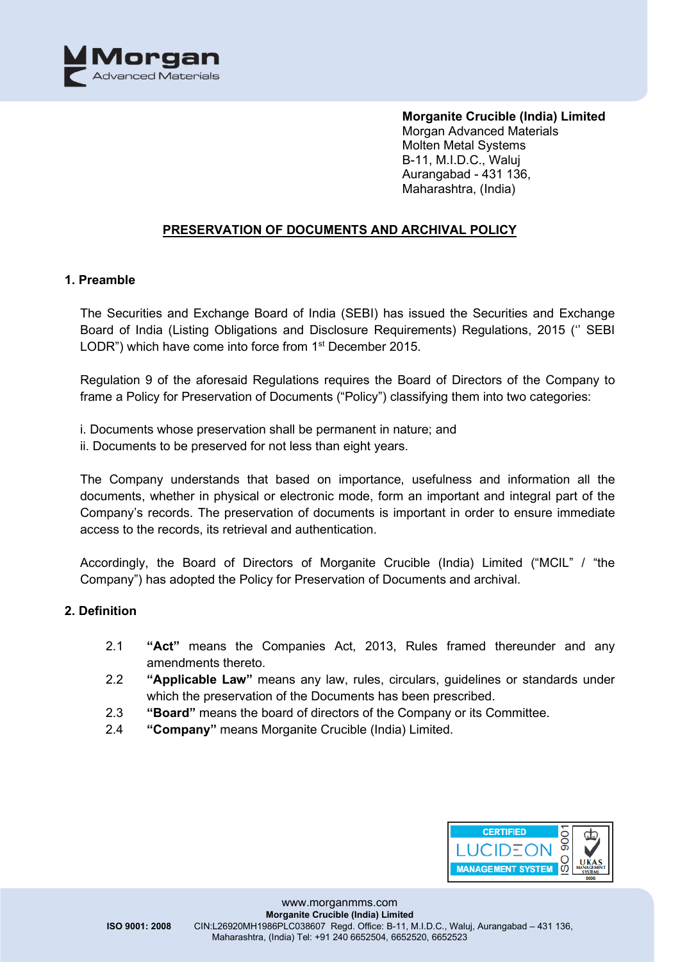

## **PRESERVATION OF DOCUMENTS AND ARCHIVAL POLICY**

#### **1. Preamble**

The Securities and Exchange Board of India (SEBI) has issued the Securities and Exchange Board of India (Listing Obligations and Disclosure Requirements) Regulations, 2015 ('' SEBI LODR") which have come into force from 1<sup>st</sup> December 2015.

Regulation 9 of the aforesaid Regulations requires the Board of Directors of the Company to frame a Policy for Preservation of Documents ("Policy") classifying them into two categories:

- i. Documents whose preservation shall be permanent in nature; and
- ii. Documents to be preserved for not less than eight years.

The Company understands that based on importance, usefulness and information all the documents, whether in physical or electronic mode, form an important and integral part of the Company's records. The preservation of documents is important in order to ensure immediate access to the records, its retrieval and authentication.

Accordingly, the Board of Directors of Morganite Crucible (India) Limited ("MCIL" / "the Company") has adopted the Policy for Preservation of Documents and archival.

## **2. Definition**

- 2.1 **"Act"** means the Companies Act, 2013, Rules framed thereunder and any amendments thereto.
- 2.2 **"Applicable Law"** means any law, rules, circulars, guidelines or standards under which the preservation of the Documents has been prescribed.
- 2.3 **"Board"** means the board of directors of the Company or its Committee.
- 2.4 **"Company"** means Morganite Crucible (India) Limited.

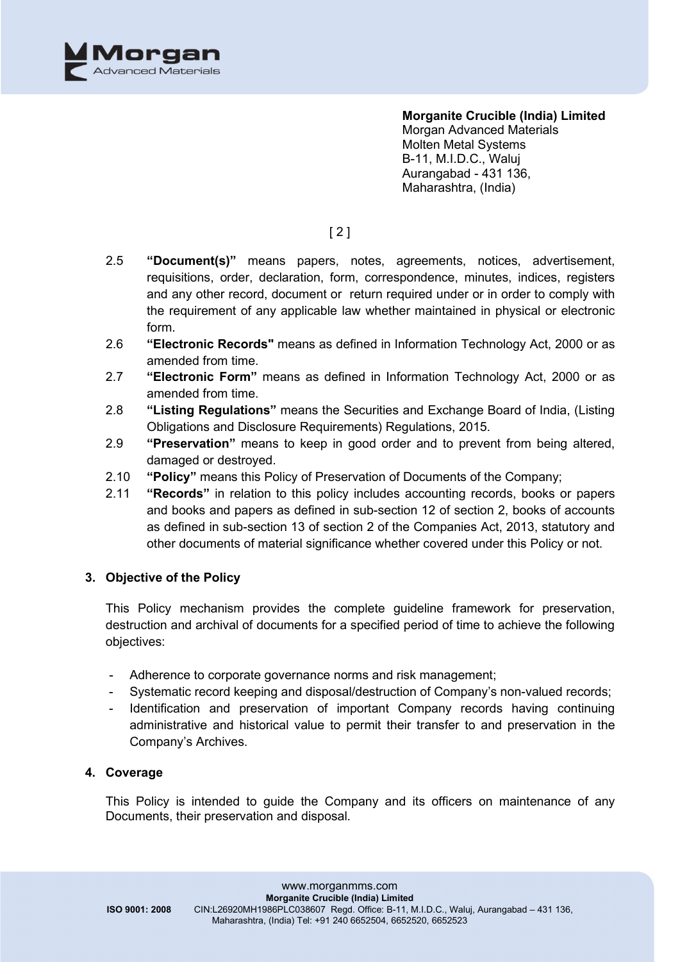

**Morganite Crucible (India) Limited**

Morgan Advanced Materials Molten Metal Systems B-11, M.I.D.C., Waluj Aurangabad - 431 136, Maharashtra, (India)

# [ 2 ]

- 2.5 **"Document(s)"** means papers, notes, agreements, notices, advertisement, requisitions, order, declaration, form, correspondence, minutes, indices, registers and any other record, document or return required under or in order to comply with the requirement of any applicable law whether maintained in physical or electronic form.
- 2.6 **"Electronic Records"** means as defined in Information Technology Act, 2000 or as amended from time.
- 2.7 **"Electronic Form"** means as defined in Information Technology Act, 2000 or as amended from time.
- 2.8 **"Listing Regulations"** means the Securities and Exchange Board of India, (Listing Obligations and Disclosure Requirements) Regulations, 2015.
- 2.9 **"Preservation"** means to keep in good order and to prevent from being altered, damaged or destroyed.
- 2.10 **"Policy"** means this Policy of Preservation of Documents of the Company;
- 2.11 **"Records"** in relation to this policy includes accounting records, books or papers and books and papers as defined in sub-section 12 of section 2, books of accounts as defined in sub-section 13 of section 2 of the Companies Act, 2013, statutory and other documents of material significance whether covered under this Policy or not.

## **3. Objective of the Policy**

This Policy mechanism provides the complete guideline framework for preservation, destruction and archival of documents for a specified period of time to achieve the following objectives:

- Adherence to corporate governance norms and risk management;
- Systematic record keeping and disposal/destruction of Company's non-valued records;
- Identification and preservation of important Company records having continuing administrative and historical value to permit their transfer to and preservation in the Company's Archives.

## **4. Coverage**

This Policy is intended to guide the Company and its officers on maintenance of any Documents, their preservation and disposal.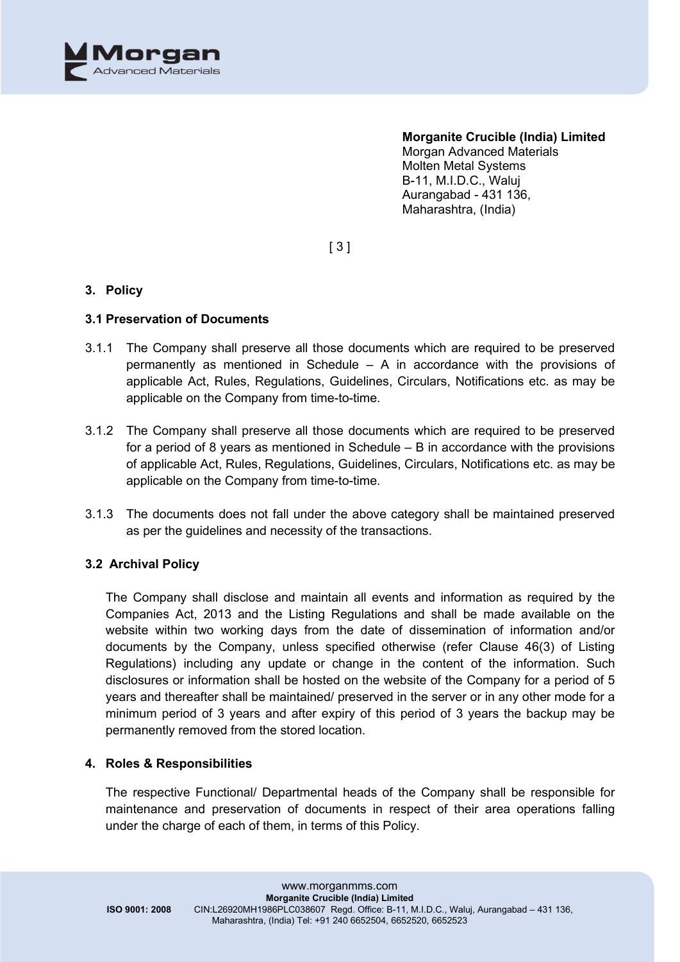

#### **Morganite Crucible (India) Limited**

Morgan Advanced Materials Molten Metal Systems B-11, M.I.D.C., Waluj Aurangabad - 431 136, Maharashtra, (India)

[ 3 ]

## **3. Policy**

## **3.1 Preservation of Documents**

- 3.1.1 The Company shall preserve all those documents which are required to be preserved permanently as mentioned in Schedule – A in accordance with the provisions of applicable Act, Rules, Regulations, Guidelines, Circulars, Notifications etc. as may be applicable on the Company from time-to-time.
- 3.1.2 The Company shall preserve all those documents which are required to be preserved for a period of 8 years as mentioned in Schedule – B in accordance with the provisions of applicable Act, Rules, Regulations, Guidelines, Circulars, Notifications etc. as may be applicable on the Company from time-to-time.
- 3.1.3 The documents does not fall under the above category shall be maintained preserved as per the guidelines and necessity of the transactions.

## **3.2 Archival Policy**

The Company shall disclose and maintain all events and information as required by the Companies Act, 2013 and the Listing Regulations and shall be made available on the website within two working days from the date of dissemination of information and/or documents by the Company, unless specified otherwise (refer Clause 46(3) of Listing Regulations) including any update or change in the content of the information. Such disclosures or information shall be hosted on the website of the Company for a period of 5 years and thereafter shall be maintained/ preserved in the server or in any other mode for a minimum period of 3 years and after expiry of this period of 3 years the backup may be permanently removed from the stored location.

## **4. Roles & Responsibilities**

The respective Functional/ Departmental heads of the Company shall be responsible for maintenance and preservation of documents in respect of their area operations falling under the charge of each of them, in terms of this Policy.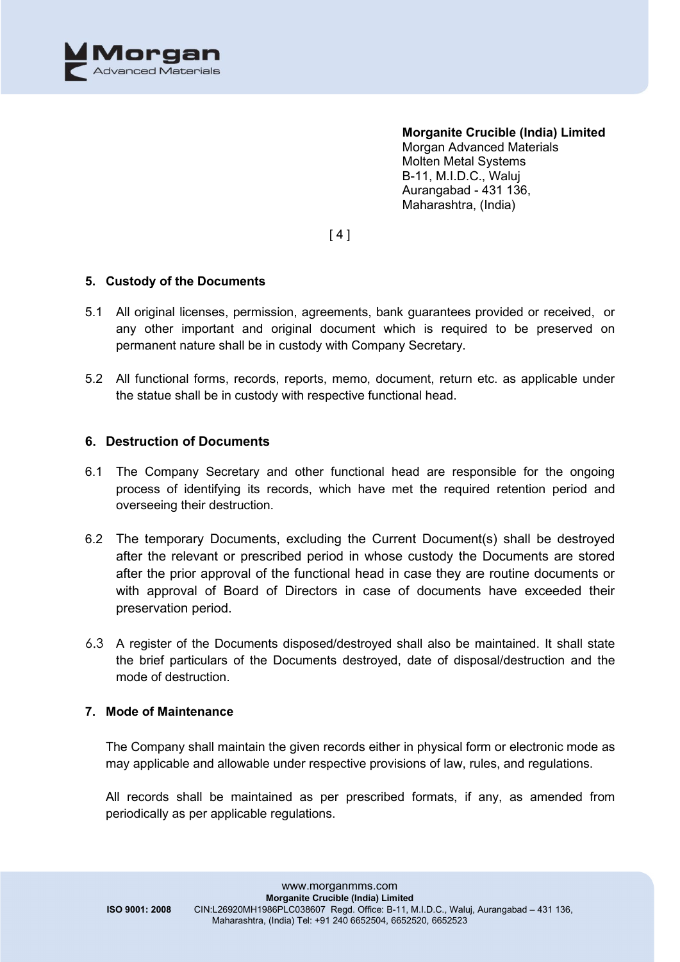

 $[4]$ 

## **5. Custody of the Documents**

- 5.1 All original licenses, permission, agreements, bank guarantees provided or received, or any other important and original document which is required to be preserved on permanent nature shall be in custody with Company Secretary.
- 5.2 All functional forms, records, reports, memo, document, return etc. as applicable under the statue shall be in custody with respective functional head.

## **6. Destruction of Documents**

- 6.1 The Company Secretary and other functional head are responsible for the ongoing process of identifying its records, which have met the required retention period and overseeing their destruction.
- 6.2 The temporary Documents, excluding the Current Document(s) shall be destroyed after the relevant or prescribed period in whose custody the Documents are stored after the prior approval of the functional head in case they are routine documents or with approval of Board of Directors in case of documents have exceeded their preservation period.
- 6.3 A register of the Documents disposed/destroyed shall also be maintained. It shall state the brief particulars of the Documents destroyed, date of disposal/destruction and the mode of destruction.

## **7. Mode of Maintenance**

The Company shall maintain the given records either in physical form or electronic mode as may applicable and allowable under respective provisions of law, rules, and regulations.

All records shall be maintained as per prescribed formats, if any, as amended from periodically as per applicable regulations.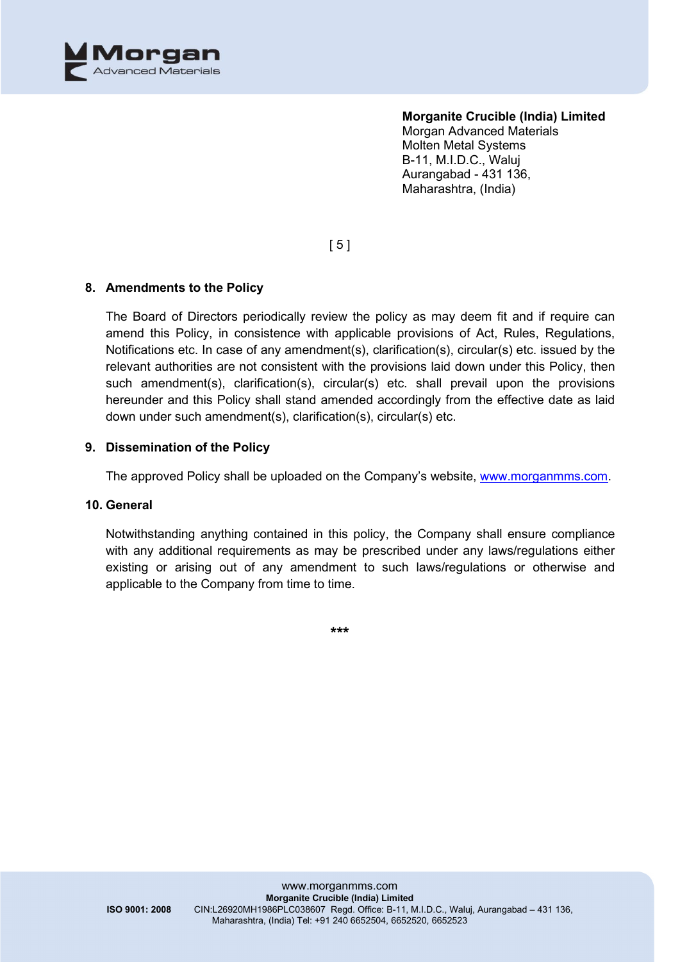

[ 5 ]

## **8. Amendments to the Policy**

The Board of Directors periodically review the policy as may deem fit and if require can amend this Policy, in consistence with applicable provisions of Act, Rules, Regulations, Notifications etc. In case of any amendment(s), clarification(s), circular(s) etc. issued by the relevant authorities are not consistent with the provisions laid down under this Policy, then such amendment(s), clarification(s), circular(s) etc. shall prevail upon the provisions hereunder and this Policy shall stand amended accordingly from the effective date as laid down under such amendment(s), clarification(s), circular(s) etc.

## **9. Dissemination of the Policy**

The approved Policy shall be uploaded on the Company's website, [www.morganmms.com.](http://www.morganmms.com/)

#### **10. General**

Notwithstanding anything contained in this policy, the Company shall ensure compliance with any additional requirements as may be prescribed under any laws/regulations either existing or arising out of any amendment to such laws/regulations or otherwise and applicable to the Company from time to time.

**\*\*\***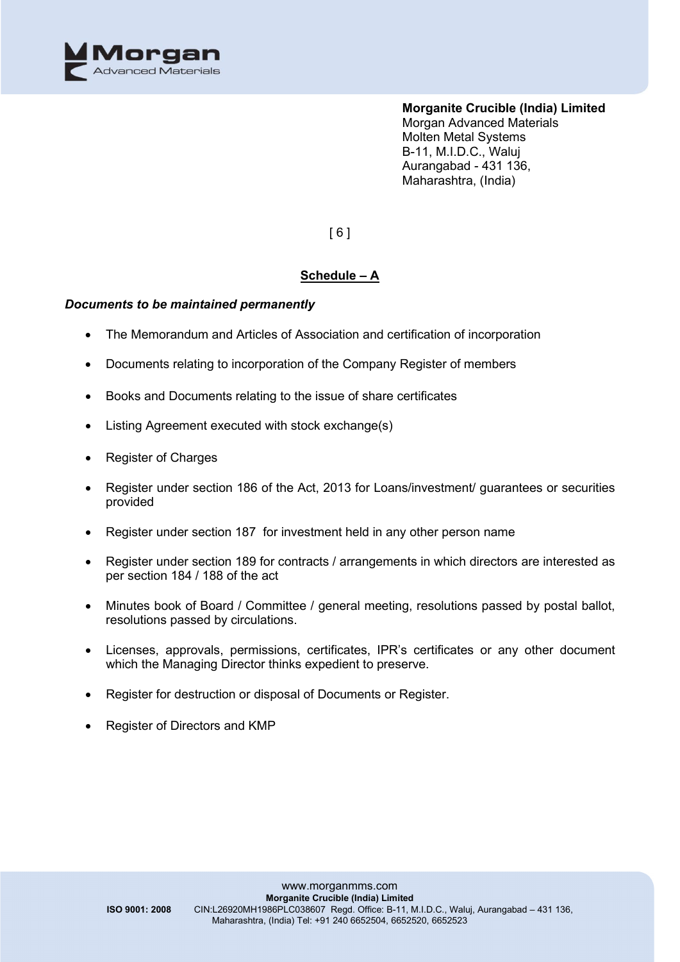

[ 6 ]

## **Schedule – A**

## *Documents to be maintained permanently*

- The Memorandum and Articles of Association and certification of incorporation
- Documents relating to incorporation of the Company Register of members
- Books and Documents relating to the issue of share certificates
- Listing Agreement executed with stock exchange(s)
- Register of Charges
- Register under section 186 of the Act, 2013 for Loans/investment/ guarantees or securities provided
- Register under section 187 for investment held in any other person name
- Register under section 189 for contracts / arrangements in which directors are interested as per section 184 / 188 of the act
- Minutes book of Board / Committee / general meeting, resolutions passed by postal ballot, resolutions passed by circulations.
- Licenses, approvals, permissions, certificates, IPR's certificates or any other document which the Managing Director thinks expedient to preserve.
- Register for destruction or disposal of Documents or Register.
- Register of Directors and KMP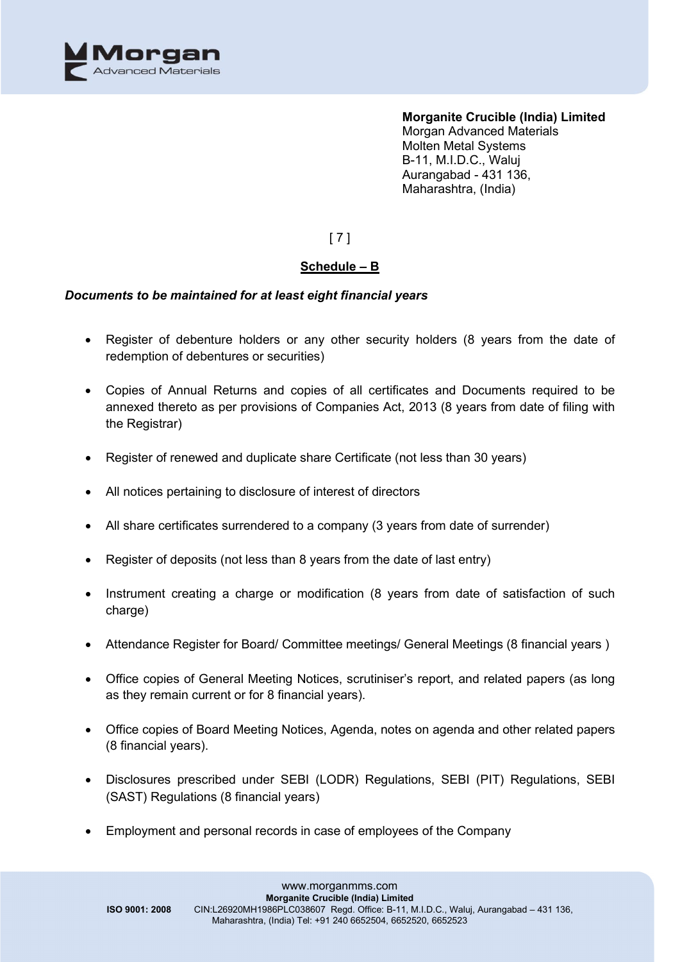

[ 7 ]

## **Schedule – B**

## *Documents to be maintained for at least eight financial years*

- Register of debenture holders or any other security holders (8 years from the date of redemption of debentures or securities)
- Copies of Annual Returns and copies of all certificates and Documents required to be annexed thereto as per provisions of Companies Act, 2013 (8 years from date of filing with the Registrar)
- Register of renewed and duplicate share Certificate (not less than 30 years)
- All notices pertaining to disclosure of interest of directors
- All share certificates surrendered to a company (3 years from date of surrender)
- Register of deposits (not less than 8 years from the date of last entry)
- Instrument creating a charge or modification (8 years from date of satisfaction of such charge)
- Attendance Register for Board/ Committee meetings/ General Meetings (8 financial years )
- Office copies of General Meeting Notices, scrutiniser's report, and related papers (as long as they remain current or for 8 financial years).
- Office copies of Board Meeting Notices, Agenda, notes on agenda and other related papers (8 financial years).
- Disclosures prescribed under SEBI (LODR) Regulations, SEBI (PIT) Regulations, SEBI (SAST) Regulations (8 financial years)
- Employment and personal records in case of employees of the Company